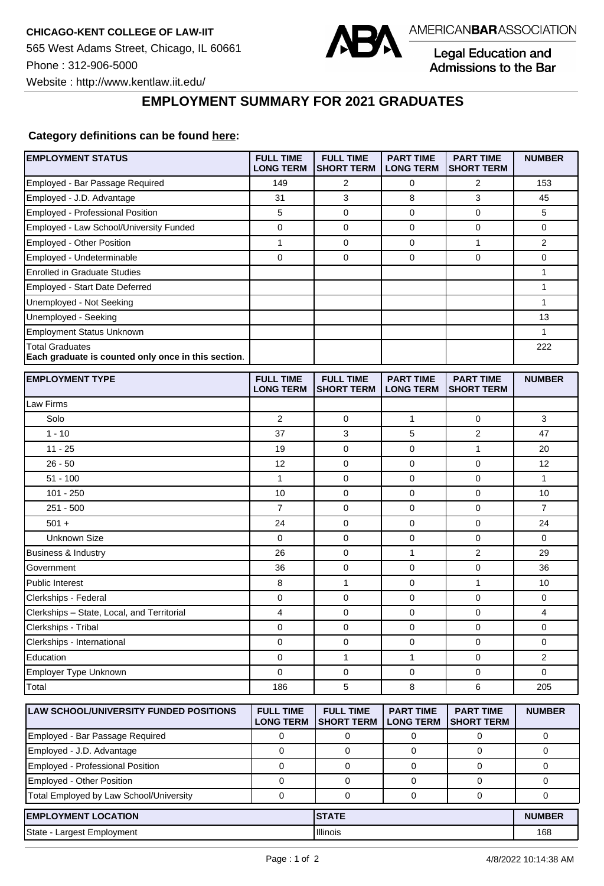

Legal Education and Admissions to the Bar

┑

Website : http://www.kentlaw.iit.edu/

## **EMPLOYMENT SUMMARY FOR 2021 GRADUATES**

## **Category definitions can be found [here:](https://www.americanbar.org/content/dam/aba/administrative/legal_education_and_admissions_to_the_bar/Questionnaires/2021/2022-employment-protocols-for-the-class-of-2021-september-2021.pdf)**

| <b>EMPLOYMENT STATUS</b>                                                      | <b>FULL TIME</b><br><b>LONG TERM</b> | <b>FULL TIME</b><br><b>SHORT TERM</b> | <b>PART TIME</b><br><b>LONG TERM</b> | <b>PART TIME</b><br><b>SHORT TERM</b> | <b>NUMBER</b>  |
|-------------------------------------------------------------------------------|--------------------------------------|---------------------------------------|--------------------------------------|---------------------------------------|----------------|
| Employed - Bar Passage Required                                               | 149                                  | 2                                     | 0                                    | 2                                     | 153            |
| Employed - J.D. Advantage                                                     | 31                                   | 3                                     | 8                                    | 3                                     | 45             |
| Employed - Professional Position                                              | 5                                    | 0                                     | 0                                    | 0                                     | 5              |
| Employed - Law School/University Funded                                       | 0                                    | $\mathbf 0$                           | 0                                    | $\mathbf 0$                           | 0              |
| Employed - Other Position                                                     | 1                                    | 0                                     | 0                                    | 1                                     | 2              |
| Employed - Undeterminable                                                     | 0                                    | $\mathbf 0$                           | 0                                    | $\mathbf 0$                           | 0              |
| <b>Enrolled in Graduate Studies</b>                                           |                                      |                                       |                                      |                                       | 1              |
| <b>Employed - Start Date Deferred</b>                                         |                                      |                                       |                                      |                                       | 1              |
| Unemployed - Not Seeking                                                      |                                      |                                       |                                      |                                       | 1              |
| Unemployed - Seeking                                                          |                                      |                                       |                                      |                                       | 13             |
| <b>Employment Status Unknown</b>                                              |                                      |                                       |                                      |                                       | 1              |
| <b>Total Graduates</b><br>Each graduate is counted only once in this section. |                                      |                                       |                                      |                                       | 222            |
| <b>EMPLOYMENT TYPE</b>                                                        | <b>FULL TIME</b><br><b>LONG TERM</b> | <b>FULL TIME</b><br><b>SHORT TERM</b> | <b>PART TIME</b><br><b>LONG TERM</b> | <b>PART TIME</b><br><b>SHORT TERM</b> | <b>NUMBER</b>  |
| Law Firms                                                                     |                                      |                                       |                                      |                                       |                |
| Solo                                                                          | $\overline{2}$                       | 0                                     | 1                                    | $\mathbf 0$                           | 3              |
| $1 - 10$                                                                      | 37                                   | 3                                     | 5                                    | 2                                     | 47             |
| $11 - 25$                                                                     | 19                                   | $\mathbf 0$                           | 0                                    | $\mathbf{1}$                          | 20             |
| $26 - 50$                                                                     | 12                                   | $\mathbf 0$                           | 0                                    | $\mathbf{0}$                          | 12             |
| $51 - 100$                                                                    | 1                                    | 0                                     | 0                                    | 0                                     | $\mathbf{1}$   |
| $101 - 250$                                                                   | 10                                   | $\mathbf 0$                           | 0                                    | $\mathbf 0$                           | 10             |
| $251 - 500$                                                                   | $\overline{7}$                       | 0                                     | 0                                    | $\mathbf 0$                           | $\overline{7}$ |
| $501 +$                                                                       | 24                                   | 0                                     | 0                                    | $\mathbf 0$                           | 24             |
| <b>Unknown Size</b>                                                           | 0                                    | 0                                     | 0                                    | 0                                     | 0              |
| Business & Industry                                                           | 26                                   | 0                                     | 1                                    | $\overline{2}$                        | 29             |
| Government                                                                    | 36                                   | 0                                     | 0                                    | $\mathbf 0$                           | 36             |
| <b>Public Interest</b>                                                        | 8                                    | $\mathbf{1}$                          | 0                                    | $\mathbf{1}$                          | 10             |
| Clerkships - Federal                                                          | 0                                    | 0                                     | 0                                    | $\pmb{0}$                             | 0              |
| Clerkships - State, Local, and Territorial                                    | 4                                    | 0                                     | 0                                    | $\mathbf 0$                           | 4              |
| Clerkships - Tribal                                                           | 0                                    | 0                                     | 0                                    | 0                                     | 0              |
| Clerkships - International                                                    | 0                                    | 0                                     | 0                                    | 0                                     | 0              |
| Education                                                                     | 0                                    | 1                                     | 1                                    | 0                                     | 2              |
| Employer Type Unknown                                                         | 0                                    | $\mathbf 0$                           | 0                                    | $\mathbf 0$                           | 0              |
| Total                                                                         | 186                                  | 5                                     | 8                                    | 6                                     | 205            |
| LAW SCHOOL/UNIVERSITY FUNDED POSITIONS                                        | <b>FULL TIME</b><br><b>LONG TERM</b> | <b>FULL TIME</b><br><b>SHORT TERM</b> | <b>PART TIME</b><br><b>LONG TERM</b> | <b>PART TIME</b><br><b>SHORT TERM</b> | <b>NUMBER</b>  |
| Employed - Bar Passage Required                                               | 0                                    | 0                                     | 0                                    | 0                                     | 0              |
| Employed - J.D. Advantage                                                     | $\mathbf 0$                          | 0                                     | 0                                    | 0                                     | $\mathbf 0$    |
| <b>Employed - Professional Position</b>                                       | $\mathbf 0$                          | 0                                     | 0                                    | $\mathbf 0$                           | 0              |
| Employed - Other Position                                                     | 0                                    | 0                                     | 0                                    | 0                                     | 0              |
| Total Employed by Law School/University                                       | $\mathsf 0$                          | $\mathbf 0$                           | $\mathbf 0$                          | $\mathbf 0$                           | 0              |
| <b>EMPLOYMENT LOCATION</b><br><b>STATE</b>                                    |                                      |                                       |                                      | <b>NUMBER</b>                         |                |
| State - Largest Employment                                                    |                                      | Illinois                              |                                      |                                       | 168            |
|                                                                               |                                      |                                       |                                      |                                       |                |